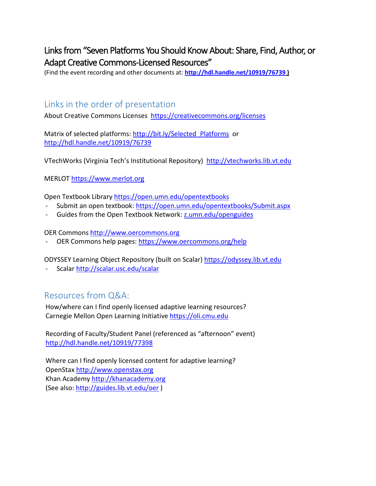## Links from "Seven Platforms You Should Know About: Share, Find, Author, or Adapt Creative Commons-Licensed Resources"

(Find the event recording and other documents at: **<http://hdl.handle.net/10919/76739> )**

## Links in the order of presentation

About Creative Commons Licenses<https://creativecommons.org/licenses>

Matrix of selected platforms: [http://bit.ly/Selected\\_Platforms](http://bit.ly/Selected_Platforms) or <http://hdl.handle.net/10919/76739>

VTechWorks (Virginia Tech's Institutional Repository) [http://vtechworks.lib.vt.edu](http://vtechworks.lib.vt.edu/)

MERLOT [https://www.merlot.org](https://www.merlot.org/)

Open Textbook Library<https://open.umn.edu/opentextbooks>

- Submit an open textbook:<https://open.umn.edu/opentextbooks/Submit.aspx>
- Guides from the Open Textbook Network: z.umn.edu/openguides

OER Commons [http://www.oercommons.org](http://www.oercommons.org/)

- OER Commons help pages:<https://www.oercommons.org/help>

ODYSSEY Learning Object Repository (built on Scalar[\) https://odyssey.lib.vt.edu](https://odyssey.lib.vt.edu/)

- Scalar<http://scalar.usc.edu/scalar>

## Resources from Q&A:

How/where can I find openly licensed adaptive learning resources? Carnegie Mellon Open Learning Initiative [https://oli.cmu.edu](https://oli.cmu.edu/)

Recording of Faculty/Student Panel (referenced as "afternoon" event) <http://hdl.handle.net/10919/77398>

Where can I find openly licensed content for adaptive learning? OpenStax [http://www.openstax.org](http://www.openstax.org/) Khan Academy [http://khanacademy.org](http://khanacademy.org/) (See also:<http://guides.lib.vt.edu/oer> )